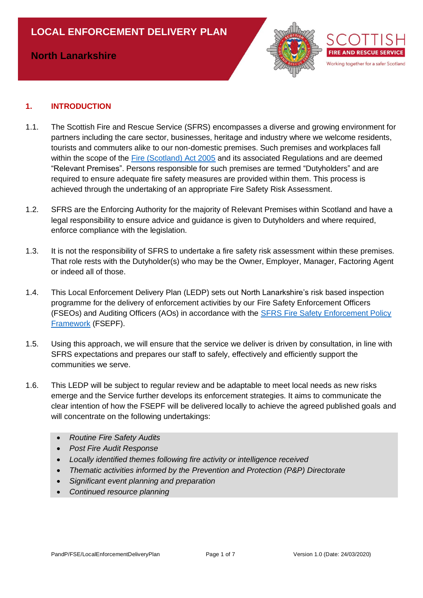# **North Lanarkshire**



### **1. INTRODUCTION**

- 1.1. The Scottish Fire and Rescue Service (SFRS) encompasses a diverse and growing environment for partners including the care sector, businesses, heritage and industry where we welcome residents, tourists and commuters alike to our non-domestic premises. Such premises and workplaces fall within the scope of the [Fire \(Scotland\) Act 2005](http://www.legislation.gov.uk/asp/2005/5/contents) and its associated Regulations and are deemed "Relevant Premises". Persons responsible for such premises are termed "Dutyholders" and are required to ensure adequate fire safety measures are provided within them. This process is achieved through the undertaking of an appropriate Fire Safety Risk Assessment.
- 1.2. SFRS are the Enforcing Authority for the majority of Relevant Premises within Scotland and have a legal responsibility to ensure advice and guidance is given to Dutyholders and where required, enforce compliance with the legislation.
- 1.3. It is not the responsibility of SFRS to undertake a fire safety risk assessment within these premises. That role rests with the Dutyholder(s) who may be the Owner, Employer, Manager, Factoring Agent or indeed all of those.
- 1.4. This Local Enforcement Delivery Plan (LEDP) sets out North Lanarkshire's risk based inspection programme for the delivery of enforcement activities by our Fire Safety Enforcement Officers (FSEOs) and Auditing Officers (AOs) in accordance with the [SFRS Fire Safety Enforcement Policy](https://ihub.firescotland.gov.uk/download.cfm?doc=docm93jijm4n662.xls&ver=32769)  [Framework](https://ihub.firescotland.gov.uk/download.cfm?doc=docm93jijm4n662.xls&ver=32769) (FSEPF).
- 1.5. Using this approach, we will ensure that the service we deliver is driven by consultation, in line with SFRS expectations and prepares our staff to safely, effectively and efficiently support the communities we serve.
- 1.6. This LEDP will be subject to regular review and be adaptable to meet local needs as new risks emerge and the Service further develops its enforcement strategies. It aims to communicate the clear intention of how the FSEPF will be delivered locally to achieve the agreed published goals and will concentrate on the following undertakings:
	- *Routine Fire Safety Audits*
	- *Post Fire Audit Response*
	- *Locally identified themes following fire activity or intelligence received*
	- *Thematic activities informed by the Prevention and Protection (P&P) Directorate*
	- *Significant event planning and preparation*
	- *Continued resource planning*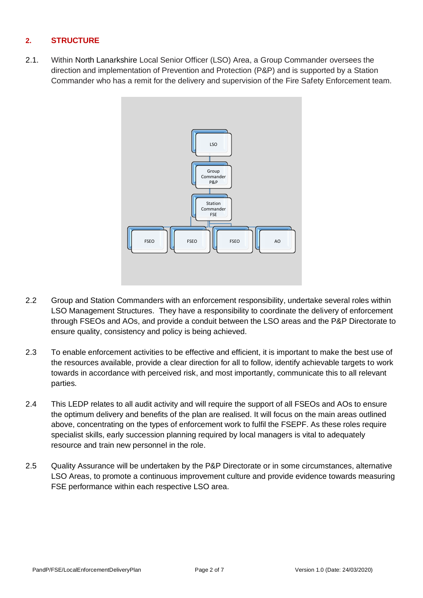### **2. STRUCTURE**

2.1. Within North Lanarkshire Local Senior Officer (LSO) Area, a Group Commander oversees the direction and implementation of Prevention and Protection (P&P) and is supported by a Station Commander who has a remit for the delivery and supervision of the Fire Safety Enforcement team.



- 2.2 Group and Station Commanders with an enforcement responsibility, undertake several roles within LSO Management Structures. They have a responsibility to coordinate the delivery of enforcement through FSEOs and AOs, and provide a conduit between the LSO areas and the P&P Directorate to ensure quality, consistency and policy is being achieved.
- 2.3 To enable enforcement activities to be effective and efficient, it is important to make the best use of the resources available, provide a clear direction for all to follow, identify achievable targets to work towards in accordance with perceived risk, and most importantly, communicate this to all relevant parties.
- 2.4 This LEDP relates to all audit activity and will require the support of all FSEOs and AOs to ensure the optimum delivery and benefits of the plan are realised. It will focus on the main areas outlined above, concentrating on the types of enforcement work to fulfil the FSEPF. As these roles require specialist skills, early succession planning required by local managers is vital to adequately resource and train new personnel in the role.
- 2.5 Quality Assurance will be undertaken by the P&P Directorate or in some circumstances, alternative LSO Areas, to promote a continuous improvement culture and provide evidence towards measuring FSE performance within each respective LSO area.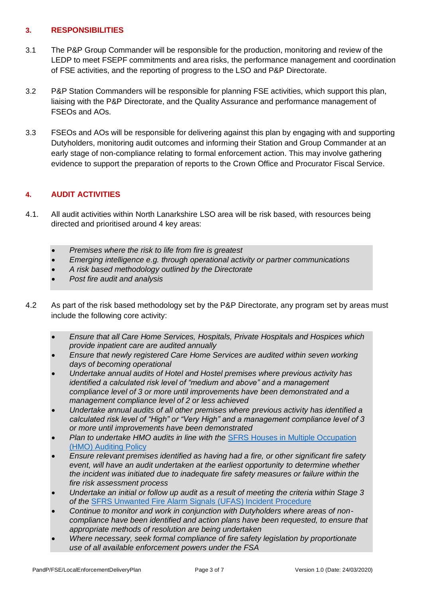#### **3. RESPONSIBILITIES**

- 3.1 The P&P Group Commander will be responsible for the production, monitoring and review of the LEDP to meet FSEPF commitments and area risks, the performance management and coordination of FSE activities, and the reporting of progress to the LSO and P&P Directorate.
- 3.2 P&P Station Commanders will be responsible for planning FSE activities, which support this plan, liaising with the P&P Directorate, and the Quality Assurance and performance management of FSEOs and AOs.
- 3.3 FSEOs and AOs will be responsible for delivering against this plan by engaging with and supporting Dutyholders, monitoring audit outcomes and informing their Station and Group Commander at an early stage of non-compliance relating to formal enforcement action. This may involve gathering evidence to support the preparation of reports to the Crown Office and Procurator Fiscal Service.

### **4. AUDIT ACTIVITIES**

- 4.1. All audit activities within North Lanarkshire LSO area will be risk based, with resources being directed and prioritised around 4 key areas:
	- *Premises where the risk to life from fire is greatest*
	- *Emerging intelligence e.g. through operational activity or partner communications*
	- *A risk based methodology outlined by the Directorate*
	- *Post fire audit and analysis*
- 4.2 As part of the risk based methodology set by the P&P Directorate, any program set by areas must include the following core activity:
	- *Ensure that all Care Home Services, Hospitals, Private Hospitals and Hospices which provide inpatient care are audited annually*
	- *Ensure that newly registered Care Home Services are audited within seven working days of becoming operational*
	- *Undertake annual audits of Hotel and Hostel premises where previous activity has identified a calculated risk level of "medium and above" and a management compliance level of 3 or more until improvements have been demonstrated and a management compliance level of 2 or less achieved*
	- *Undertake annual audits of all other premises where previous activity has identified a calculated risk level of "High" or "Very High" and a management compliance level of 3 or more until improvements have been demonstrated*
	- *Plan to undertake HMO audits in line with the* [SFRS Houses in Multiple Occupation](https://ihub.firescotland.gov.uk/download.cfm?doc=docm93jijm4n6539.xls&ver=44233)  (HMO) [Auditing Policy](https://ihub.firescotland.gov.uk/download.cfm?doc=docm93jijm4n6539.xls&ver=44233)
	- *Ensure relevant premises identified as having had a fire, or other significant fire safety event, will have an audit undertaken at the earliest opportunity to determine whether the incident was initiated due to inadequate fire safety measures or failure within the fire risk assessment process*
	- *Undertake an initial or follow up audit as a result of meeting the criteria within Stage 3 of the* [SFRS Unwanted Fire Alarm Signals \(UFAS\) Incident](https://ihub.firescotland.gov.uk/download.cfm?doc=docm93jijm4n3257.xls&ver=13871) Procedure
	- *Continue to monitor and work in conjunction with Dutyholders where areas of noncompliance have been identified and action plans have been requested, to ensure that appropriate methods of resolution are being undertaken*
	- *Where necessary, seek formal compliance of fire safety legislation by proportionate use of all available enforcement powers under the FSA*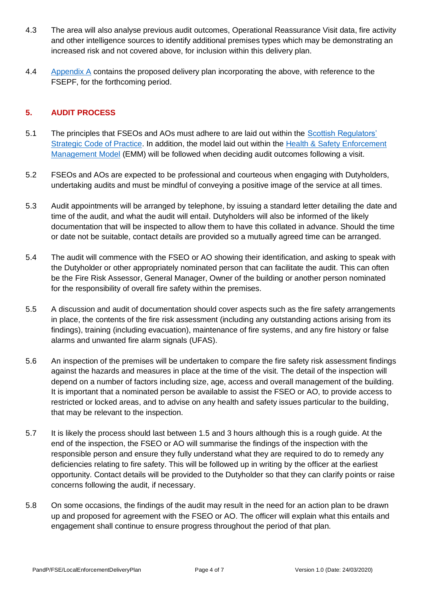- 4.3 The area will also analyse previous audit outcomes, Operational Reassurance Visit data, fire activity and other intelligence sources to identify additional premises types which may be demonstrating an increased risk and not covered above, for inclusion within this delivery plan.
- 4.4 [Appendix A](#page-5-0) contains the proposed delivery plan incorporating the above, with reference to the FSEPF, for the forthcoming period.

#### **5. AUDIT PROCESS**

- 5.1 The principles that FSEOs and AOs must adhere to are laid out within the [Scottish Regulators'](https://www.gov.scot/publications/scottish-regulators-strategic-code-of-practice/)  [Strategic Code of Practice.](https://www.gov.scot/publications/scottish-regulators-strategic-code-of-practice/) In addition, the model laid out within the [Health & Safety Enforcement](https://www.hse.gov.uk/enforce/enforcement-management-model.htm)  [Management Model](https://www.hse.gov.uk/enforce/enforcement-management-model.htm) (EMM) will be followed when deciding audit outcomes following a visit.
- 5.2 FSEOs and AOs are expected to be professional and courteous when engaging with Dutyholders, undertaking audits and must be mindful of conveying a positive image of the service at all times.
- 5.3 Audit appointments will be arranged by telephone, by issuing a standard letter detailing the date and time of the audit, and what the audit will entail. Dutyholders will also be informed of the likely documentation that will be inspected to allow them to have this collated in advance. Should the time or date not be suitable, contact details are provided so a mutually agreed time can be arranged.
- 5.4 The audit will commence with the FSEO or AO showing their identification, and asking to speak with the Dutyholder or other appropriately nominated person that can facilitate the audit. This can often be the Fire Risk Assessor, General Manager, Owner of the building or another person nominated for the responsibility of overall fire safety within the premises.
- 5.5 A discussion and audit of documentation should cover aspects such as the fire safety arrangements in place, the contents of the fire risk assessment (including any outstanding actions arising from its findings), training (including evacuation), maintenance of fire systems, and any fire history or false alarms and unwanted fire alarm signals (UFAS).
- 5.6 An inspection of the premises will be undertaken to compare the fire safety risk assessment findings against the hazards and measures in place at the time of the visit. The detail of the inspection will depend on a number of factors including size, age, access and overall management of the building. It is important that a nominated person be available to assist the FSEO or AO, to provide access to restricted or locked areas, and to advise on any health and safety issues particular to the building, that may be relevant to the inspection.
- 5.7 It is likely the process should last between 1.5 and 3 hours although this is a rough guide. At the end of the inspection, the FSEO or AO will summarise the findings of the inspection with the responsible person and ensure they fully understand what they are required to do to remedy any deficiencies relating to fire safety. This will be followed up in writing by the officer at the earliest opportunity. Contact details will be provided to the Dutyholder so that they can clarify points or raise concerns following the audit, if necessary.
- 5.8 On some occasions, the findings of the audit may result in the need for an action plan to be drawn up and proposed for agreement with the FSEO or AO. The officer will explain what this entails and engagement shall continue to ensure progress throughout the period of that plan.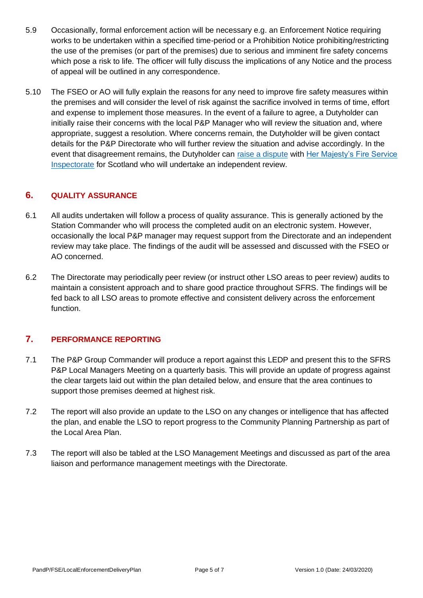- 5.9 Occasionally, formal enforcement action will be necessary e.g. an Enforcement Notice requiring works to be undertaken within a specified time-period or a Prohibition Notice prohibiting/restricting the use of the premises (or part of the premises) due to serious and imminent fire safety concerns which pose a risk to life. The officer will fully discuss the implications of any Notice and the process of appeal will be outlined in any correspondence.
- 5.10 The FSEO or AO will fully explain the reasons for any need to improve fire safety measures within the premises and will consider the level of risk against the sacrifice involved in terms of time, effort and expense to implement those measures. In the event of a failure to agree, a Dutyholder can initially raise their concerns with the local P&P Manager who will review the situation and, where appropriate, suggest a resolution. Where concerns remain, the Dutyholder will be given contact details for the P&P Directorate who will further review the situation and advise accordingly. In the event that disagreement remains, the Dutyholder can [raise a dispute](http://www.gov.scot/Resource/0048/00481729.pdf) with [Her Majesty's Fire Service](http://www.gov.scot/about/public-bodies/HMFSI)  [Inspectorate](http://www.gov.scot/about/public-bodies/HMFSI) for Scotland who will undertake an independent review.

### **6. QUALITY ASSURANCE**

- 6.1 All audits undertaken will follow a process of quality assurance. This is generally actioned by the Station Commander who will process the completed audit on an electronic system. However, occasionally the local P&P manager may request support from the Directorate and an independent review may take place. The findings of the audit will be assessed and discussed with the FSEO or AO concerned.
- 6.2 The Directorate may periodically peer review (or instruct other LSO areas to peer review) audits to maintain a consistent approach and to share good practice throughout SFRS. The findings will be fed back to all LSO areas to promote effective and consistent delivery across the enforcement function.

# **7. PERFORMANCE REPORTING**

- 7.1 The P&P Group Commander will produce a report against this LEDP and present this to the SFRS P&P Local Managers Meeting on a quarterly basis. This will provide an update of progress against the clear targets laid out within the plan detailed below, and ensure that the area continues to support those premises deemed at highest risk.
- 7.2 The report will also provide an update to the LSO on any changes or intelligence that has affected the plan, and enable the LSO to report progress to the Community Planning Partnership as part of the Local Area Plan.
- 7.3 The report will also be tabled at the LSO Management Meetings and discussed as part of the area liaison and performance management meetings with the Directorate.